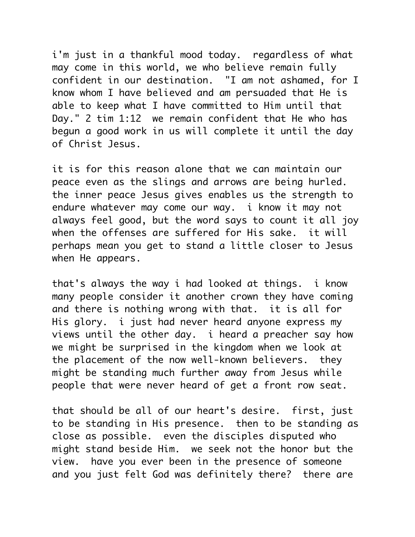i'm just in a thankful mood today. regardless of what may come in this world, we who believe remain fully confident in our destination. "I am not ashamed, for I know whom I have believed and am persuaded that He is able to keep what I have committed to Him until that Day." 2 tim 1:12 we remain confident that He who has begun a good work in us will complete it until the day of Christ Jesus.

it is for this reason alone that we can maintain our peace even as the slings and arrows are being hurled. the inner peace Jesus gives enables us the strength to endure whatever may come our way. i know it may not always feel good, but the word says to count it all joy when the offenses are suffered for His sake. it will perhaps mean you get to stand a little closer to Jesus when He appears.

that's always the way i had looked at things. i know many people consider it another crown they have coming and there is nothing wrong with that. it is all for His glory. i just had never heard anyone express my views until the other day. i heard a preacher say how we might be surprised in the kingdom when we look at the placement of the now well-known believers. they might be standing much further away from Jesus while people that were never heard of get a front row seat.

that should be all of our heart's desire. first, just to be standing in His presence. then to be standing as close as possible. even the disciples disputed who might stand beside Him. we seek not the honor but the view. have you ever been in the presence of someone and you just felt God was definitely there? there are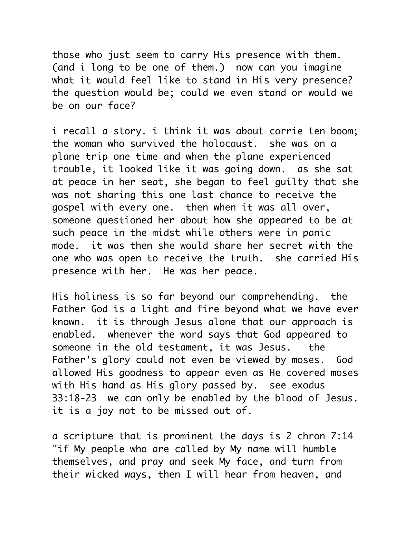those who just seem to carry His presence with them. (and i long to be one of them.) now can you imagine what it would feel like to stand in His very presence? the question would be; could we even stand or would we be on our face?

i recall a story. i think it was about corrie ten boom; the woman who survived the holocaust. she was on a plane trip one time and when the plane experienced trouble, it looked like it was going down. as she sat at peace in her seat, she began to feel guilty that she was not sharing this one last chance to receive the gospel with every one. then when it was all over, someone questioned her about how she appeared to be at such peace in the midst while others were in panic mode. it was then she would share her secret with the one who was open to receive the truth. she carried His presence with her. He was her peace.

His holiness is so far beyond our comprehending. the Father God is a light and fire beyond what we have ever known. it is through Jesus alone that our approach is enabled. whenever the word says that God appeared to someone in the old testament, it was Jesus. the Father's glory could not even be viewed by moses. God allowed His goodness to appear even as He covered moses with His hand as His glory passed by. see exodus 33:18-23 we can only be enabled by the blood of Jesus. it is a joy not to be missed out of.

a scripture that is prominent the days is 2 chron 7:14 "if My people who are called by My name will humble themselves, and pray and seek My face, and turn from their wicked ways, then I will hear from heaven, and